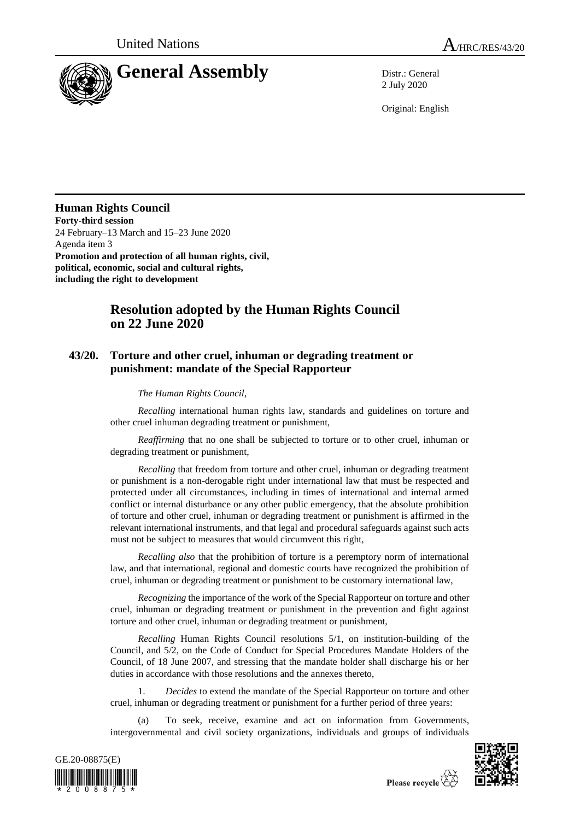

2 July 2020

Original: English

## **Human Rights Council**

**Forty-third session** 24 February–13 March and 15–23 June 2020 Agenda item 3 **Promotion and protection of all human rights, civil, political, economic, social and cultural rights, including the right to development**

## **Resolution adopted by the Human Rights Council on 22 June 2020**

## **43/20. Torture and other cruel, inhuman or degrading treatment or punishment: mandate of the Special Rapporteur**

## *The Human Rights Council*,

*Recalling* international human rights law, standards and guidelines on torture and other cruel inhuman degrading treatment or punishment,

*Reaffirming* that no one shall be subjected to torture or to other cruel, inhuman or degrading treatment or punishment,

*Recalling* that freedom from torture and other cruel, inhuman or degrading treatment or punishment is a non-derogable right under international law that must be respected and protected under all circumstances, including in times of international and internal armed conflict or internal disturbance or any other public emergency, that the absolute prohibition of torture and other cruel, inhuman or degrading treatment or punishment is affirmed in the relevant international instruments, and that legal and procedural safeguards against such acts must not be subject to measures that would circumvent this right,

*Recalling also* that the prohibition of torture is a peremptory norm of international law, and that international, regional and domestic courts have recognized the prohibition of cruel, inhuman or degrading treatment or punishment to be customary international law,

*Recognizing* the importance of the work of the Special Rapporteur on torture and other cruel, inhuman or degrading treatment or punishment in the prevention and fight against torture and other cruel, inhuman or degrading treatment or punishment,

*Recalling* Human Rights Council resolutions 5/1, on institution-building of the Council, and 5/2, on the Code of Conduct for Special Procedures Mandate Holders of the Council, of 18 June 2007, and stressing that the mandate holder shall discharge his or her duties in accordance with those resolutions and the annexes thereto,

1. *Decides* to extend the mandate of the Special Rapporteur on torture and other cruel, inhuman or degrading treatment or punishment for a further period of three years:

(a) To seek, receive, examine and act on information from Governments, intergovernmental and civil society organizations, individuals and groups of individuals





Please recycle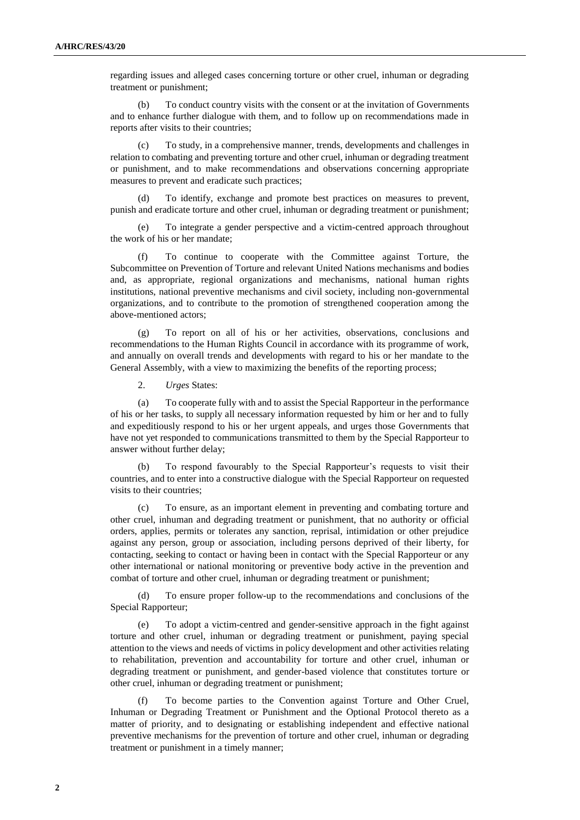regarding issues and alleged cases concerning torture or other cruel, inhuman or degrading treatment or punishment;

(b) To conduct country visits with the consent or at the invitation of Governments and to enhance further dialogue with them, and to follow up on recommendations made in reports after visits to their countries;

(c) To study, in a comprehensive manner, trends, developments and challenges in relation to combating and preventing torture and other cruel, inhuman or degrading treatment or punishment, and to make recommendations and observations concerning appropriate measures to prevent and eradicate such practices;

(d) To identify, exchange and promote best practices on measures to prevent, punish and eradicate torture and other cruel, inhuman or degrading treatment or punishment;

(e) To integrate a gender perspective and a victim-centred approach throughout the work of his or her mandate;

To continue to cooperate with the Committee against Torture, the Subcommittee on Prevention of Torture and relevant United Nations mechanisms and bodies and, as appropriate, regional organizations and mechanisms, national human rights institutions, national preventive mechanisms and civil society, including non-governmental organizations, and to contribute to the promotion of strengthened cooperation among the above-mentioned actors;

(g) To report on all of his or her activities, observations, conclusions and recommendations to the Human Rights Council in accordance with its programme of work, and annually on overall trends and developments with regard to his or her mandate to the General Assembly, with a view to maximizing the benefits of the reporting process;

2. *Urges* States:

(a) To cooperate fully with and to assist the Special Rapporteur in the performance of his or her tasks, to supply all necessary information requested by him or her and to fully and expeditiously respond to his or her urgent appeals, and urges those Governments that have not yet responded to communications transmitted to them by the Special Rapporteur to answer without further delay;

To respond favourably to the Special Rapporteur's requests to visit their countries, and to enter into a constructive dialogue with the Special Rapporteur on requested visits to their countries;

(c) To ensure, as an important element in preventing and combating torture and other cruel, inhuman and degrading treatment or punishment, that no authority or official orders, applies, permits or tolerates any sanction, reprisal, intimidation or other prejudice against any person, group or association, including persons deprived of their liberty, for contacting, seeking to contact or having been in contact with the Special Rapporteur or any other international or national monitoring or preventive body active in the prevention and combat of torture and other cruel, inhuman or degrading treatment or punishment;

(d) To ensure proper follow-up to the recommendations and conclusions of the Special Rapporteur;

(e) To adopt a victim-centred and gender-sensitive approach in the fight against torture and other cruel, inhuman or degrading treatment or punishment, paying special attention to the views and needs of victims in policy development and other activities relating to rehabilitation, prevention and accountability for torture and other cruel, inhuman or degrading treatment or punishment, and gender-based violence that constitutes torture or other cruel, inhuman or degrading treatment or punishment;

(f) To become parties to the Convention against Torture and Other Cruel, Inhuman or Degrading Treatment or Punishment and the Optional Protocol thereto as a matter of priority, and to designating or establishing independent and effective national preventive mechanisms for the prevention of torture and other cruel, inhuman or degrading treatment or punishment in a timely manner;